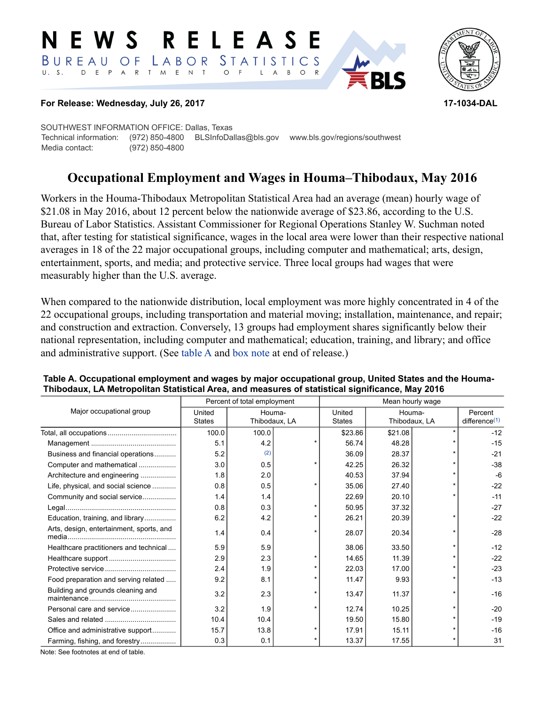#### **RELEAS** W S Е LABOR *STATISTICS*  $B$  U R E A U O F T M E N T  $U_S = S_S$ D E P A R  $O$  F  $B$  $O$  R



#### **For Release: Wednesday, July 26, 2017 17-1034-DAL**

SOUTHWEST INFORMATION OFFICE: Dallas, Texas Technical information: (972) 850-4800 BLSInfoDallas@bls.gov www.bls.gov/regions/southwest Media contact: (972) 850-4800

# **Occupational Employment and Wages in Houma–Thibodaux, May 2016**

Workers in the Houma-Thibodaux Metropolitan Statistical Area had an average (mean) hourly wage of \$21.08 in May 2016, about 12 percent below the nationwide average of \$23.86, according to the U.S. Bureau of Labor Statistics. Assistant Commissioner for Regional Operations Stanley W. Suchman noted that, after testing for statistical significance, wages in the local area were lower than their respective national averages in 18 of the 22 major occupational groups, including computer and mathematical; arts, design, entertainment, sports, and media; and protective service. Three local groups had wages that were measurably higher than the U.S. average.

When compared to the nationwide distribution, local employment was more highly concentrated in 4 of the 22 occupational groups, including transportation and material moving; installation, maintenance, and repair; and construction and extraction. Conversely, 13 groups had employment shares significantly below their national representation, including computer and mathematical; education, training, and library; and office and administrative support. (See [table A](#page-0-0) and [box note](#page-2-0) at end of release.)

|                                          | Percent of total employment |                         |  |                         |                         |  |                             |  |
|------------------------------------------|-----------------------------|-------------------------|--|-------------------------|-------------------------|--|-----------------------------|--|
| Major occupational group                 | United<br>States            | Houma-<br>Thibodaux, LA |  | United<br><b>States</b> | Houma-<br>Thibodaux, LA |  | Percent<br>difference $(1)$ |  |
|                                          | 100.0                       | 100.0                   |  | \$23.86                 | \$21.08                 |  | $-12$                       |  |
|                                          | 5.1                         | 4.2                     |  | 56.74                   | 48.28                   |  | $-15$                       |  |
| Business and financial operations        | 5.2                         | (2)                     |  | 36.09                   | 28.37                   |  | $-21$                       |  |
| Computer and mathematical                | 3.0                         | 0.5                     |  | 42.25                   | 26.32                   |  | $-38$                       |  |
| Architecture and engineering             | 1.8                         | 2.0                     |  | 40.53                   | 37.94                   |  | $-6$                        |  |
| Life, physical, and social science       | 0.8                         | 0.5                     |  | 35.06                   | 27.40                   |  | $-22$                       |  |
| Community and social service             | 1.4                         | 1.4                     |  | 22.69                   | 20.10                   |  | $-11$                       |  |
|                                          | 0.8                         | 0.3                     |  | 50.95                   | 37.32                   |  | $-27$                       |  |
| Education, training, and library         | 6.2                         | 4.2                     |  | 26.21                   | 20.39                   |  | $-22$                       |  |
| Arts, design, entertainment, sports, and | 1.4                         | 0.4                     |  | 28.07                   | 20.34                   |  | $-28$                       |  |
| Healthcare practitioners and technical   | 5.9                         | 5.9                     |  | 38.06                   | 33.50                   |  | $-12$                       |  |
|                                          | 2.9                         | 2.3                     |  | 14.65                   | 11.39                   |  | $-22$                       |  |
|                                          | 2.4                         | 1.9                     |  | 22.03                   | 17.00                   |  | $-23$                       |  |
| Food preparation and serving related     | 9.2                         | 8.1                     |  | 11.47                   | 9.93                    |  | $-13$                       |  |
| Building and grounds cleaning and        | 3.2                         | 2.3                     |  | 13.47                   | 11.37                   |  | $-16$                       |  |
| Personal care and service                | 3.2                         | 1.9                     |  | 12.74                   | 10.25                   |  | $-20$                       |  |
|                                          | 10.4                        | 10.4                    |  | 19.50                   | 15.80                   |  | $-19$                       |  |
| Office and administrative support        | 15.7                        | 13.8                    |  | 17.91                   | 15.11                   |  | $-16$                       |  |
| Farming, fishing, and forestry           | 0.3                         | 0.1                     |  | 13.37                   | 17.55                   |  | 31                          |  |

#### <span id="page-0-0"></span>**Table A. Occupational employment and wages by major occupational group, United States and the Houma-Thibodaux, LA Metropolitan Statistical Area, and measures of statistical significance, May 2016**

Note: See footnotes at end of table.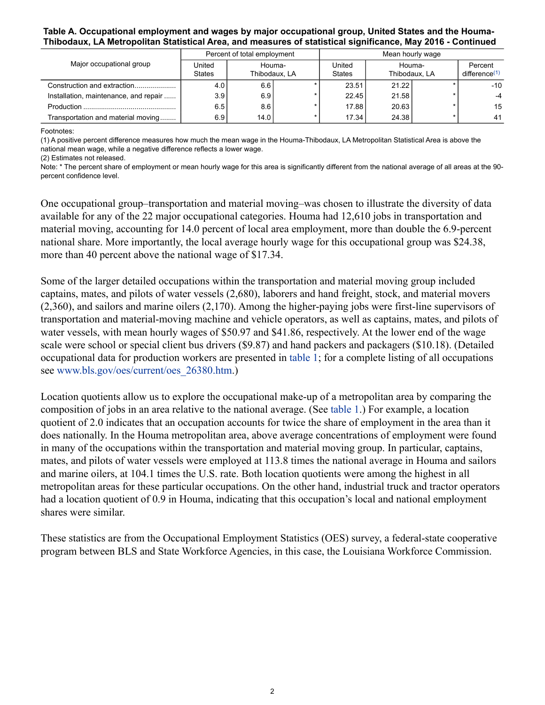#### **Table A. Occupational employment and wages by major occupational group, United States and the Houma-Thibodaux, LA Metropolitan Statistical Area, and measures of statistical significance, May 2016 - Continued**

|                                       | Percent of total employment |                         |  |                         |                         |  |                                      |  |
|---------------------------------------|-----------------------------|-------------------------|--|-------------------------|-------------------------|--|--------------------------------------|--|
| Major occupational group              | United<br>States            | Houma-<br>Thibodaux. LA |  | United<br><b>States</b> | Houma-<br>Thibodaux. LA |  | Percent<br>difference <sup>(1)</sup> |  |
| Construction and extraction           | 4.0                         | 6.6                     |  | 23.51                   | 21.22                   |  | -10                                  |  |
| Installation, maintenance, and repair | 3.9 <sub>1</sub>            | 6.9                     |  | 22.45                   | 21.58                   |  |                                      |  |
|                                       | 6.5                         | 8.6                     |  | 17.88                   | 20.63                   |  | 15                                   |  |
| Transportation and material moving    | 6.9                         | 14.0                    |  | 17.34                   | 24.38                   |  | -41                                  |  |

Footnotes:

<span id="page-1-0"></span>(1) A positive percent difference measures how much the mean wage in the Houma-Thibodaux, LA Metropolitan Statistical Area is above the national mean wage, while a negative difference reflects a lower wage.

<span id="page-1-1"></span>(2) Estimates not released.

Note: \* The percent share of employment or mean hourly wage for this area is significantly different from the national average of all areas at the 90 percent confidence level.

One occupational group–transportation and material moving–was chosen to illustrate the diversity of data available for any of the 22 major occupational categories. Houma had 12,610 jobs in transportation and material moving, accounting for 14.0 percent of local area employment, more than double the 6.9-percent national share. More importantly, the local average hourly wage for this occupational group was \$24.38, more than 40 percent above the national wage of \$17.34.

Some of the larger detailed occupations within the transportation and material moving group included captains, mates, and pilots of water vessels (2,680), laborers and hand freight, stock, and material movers (2,360), and sailors and marine oilers (2,170). Among the higher-paying jobs were first-line supervisors of transportation and material-moving machine and vehicle operators, as well as captains, mates, and pilots of water vessels, with mean hourly wages of \$50.97 and \$41.86, respectively. At the lower end of the wage scale were school or special client bus drivers (\$9.87) and hand packers and packagers (\$10.18). (Detailed occupational data for production workers are presented in [table 1;](#page-4-0) for a complete listing of all occupations see [www.bls.gov/oes/current/oes\\_26380.htm.](https://www.bls.gov/oes/current/oes_26380.htm))

Location quotients allow us to explore the occupational make-up of a metropolitan area by comparing the composition of jobs in an area relative to the national average. (See [table 1.](#page-4-0)) For example, a location quotient of 2.0 indicates that an occupation accounts for twice the share of employment in the area than it does nationally. In the Houma metropolitan area, above average concentrations of employment were found in many of the occupations within the transportation and material moving group. In particular, captains, mates, and pilots of water vessels were employed at 113.8 times the national average in Houma and sailors and marine oilers, at 104.1 times the U.S. rate. Both location quotients were among the highest in all metropolitan areas for these particular occupations. On the other hand, industrial truck and tractor operators had a location quotient of 0.9 in Houma, indicating that this occupation's local and national employment shares were similar.

These statistics are from the Occupational Employment Statistics (OES) survey, a federal-state cooperative program between BLS and State Workforce Agencies, in this case, the Louisiana Workforce Commission.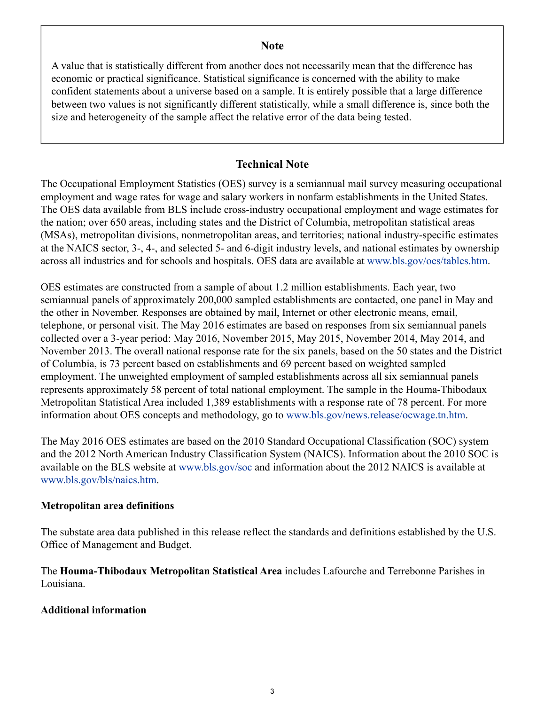## **Note**

<span id="page-2-0"></span>A value that is statistically different from another does not necessarily mean that the difference has economic or practical significance. Statistical significance is concerned with the ability to make confident statements about a universe based on a sample. It is entirely possible that a large difference between two values is not significantly different statistically, while a small difference is, since both the size and heterogeneity of the sample affect the relative error of the data being tested.

# **Technical Note**

The Occupational Employment Statistics (OES) survey is a semiannual mail survey measuring occupational employment and wage rates for wage and salary workers in nonfarm establishments in the United States. The OES data available from BLS include cross-industry occupational employment and wage estimates for the nation; over 650 areas, including states and the District of Columbia, metropolitan statistical areas (MSAs), metropolitan divisions, nonmetropolitan areas, and territories; national industry-specific estimates at the NAICS sector, 3-, 4-, and selected 5- and 6-digit industry levels, and national estimates by ownership across all industries and for schools and hospitals. OES data are available at [www.bls.gov/oes/tables.htm](https://www.bls.gov/oes/tables.htm).

OES estimates are constructed from a sample of about 1.2 million establishments. Each year, two semiannual panels of approximately 200,000 sampled establishments are contacted, one panel in May and the other in November. Responses are obtained by mail, Internet or other electronic means, email, telephone, or personal visit. The May 2016 estimates are based on responses from six semiannual panels collected over a 3-year period: May 2016, November 2015, May 2015, November 2014, May 2014, and November 2013. The overall national response rate for the six panels, based on the 50 states and the District of Columbia, is 73 percent based on establishments and 69 percent based on weighted sampled employment. The unweighted employment of sampled establishments across all six semiannual panels represents approximately 58 percent of total national employment. The sample in the Houma-Thibodaux Metropolitan Statistical Area included 1,389 establishments with a response rate of 78 percent. For more information about OES concepts and methodology, go to [www.bls.gov/news.release/ocwage.tn.htm](https://www.bls.gov/news.release/ocwage.tn.htm).

The May 2016 OES estimates are based on the 2010 Standard Occupational Classification (SOC) system and the 2012 North American Industry Classification System (NAICS). Information about the 2010 SOC is available on the BLS website at [www.bls.gov/soc](https://www.bls.gov/soc) and information about the 2012 NAICS is available at [www.bls.gov/bls/naics.htm.](https://www.bls.gov/bls/naics.htm)

### **Metropolitan area definitions**

The substate area data published in this release reflect the standards and definitions established by the U.S. Office of Management and Budget.

The **Houma-Thibodaux Metropolitan Statistical Area** includes Lafourche and Terrebonne Parishes in Louisiana.

# **Additional information**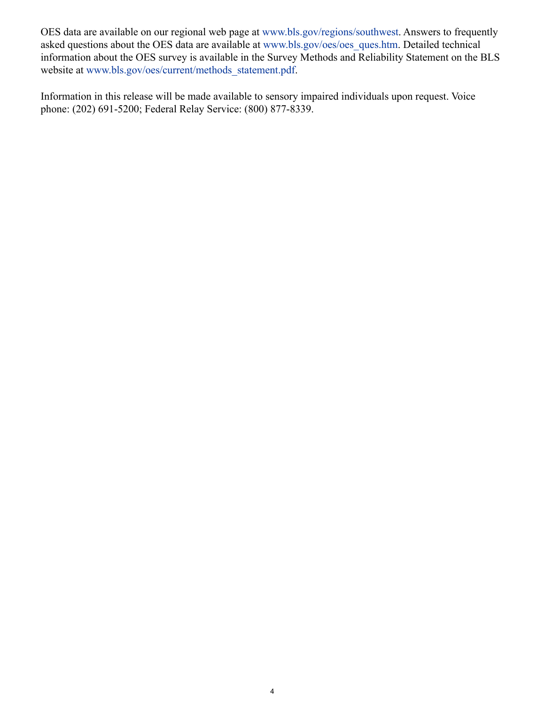OES data are available on our regional web page at [www.bls.gov/regions/southwest.](https://www.bls.gov/regions/southwest) Answers to frequently asked questions about the OES data are available at [www.bls.gov/oes/oes\\_ques.htm](https://www.bls.gov/oes/oes_ques.htm). Detailed technical information about the OES survey is available in the Survey Methods and Reliability Statement on the BLS website at [www.bls.gov/oes/current/methods\\_statement.pdf.](https://www.bls.gov/oes/current/methods_statement.pdf)

Information in this release will be made available to sensory impaired individuals upon request. Voice phone: (202) 691-5200; Federal Relay Service: (800) 877-8339.